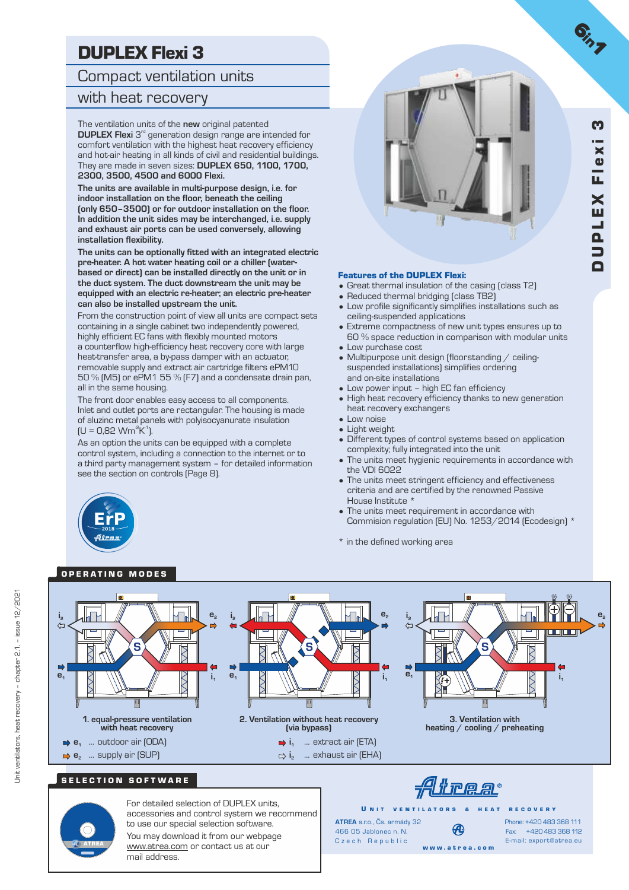# DUPLEX Flexi 3

Compact ventilation units

### with heat recovery

The ventilation units of the **new** original patented **DUPLEX Flexi** 3<sup>rd</sup> generation design range are intended for comfort ventilation with the highest heat recovery efficiency and hot-air heating in all kinds of civil and residential buildings. They are made in seven sizes: **DUPLEX 650, 1100, 1700, 2300, 3500, 4500 and 6000 Flexi.**

**The units are available in multi-purpose design, i.e. for indoor installation on the floor, beneath the ceiling (only 650–3500) or for outdoor installation on the floor. In addition the unit sides may be interchanged, i.e. supply and exhaust air ports can be used conversely, allowing installation flexibility.**

**The units can be optionally fitted with an integrated electric pre-heater. A hot water heating coil or a chiller (waterbased or direct) can be installed directly on the unit or in the duct system. The duct downstream the unit may be equipped with an electric re-heater; an electric pre-heater can also be installed upstream the unit.**

From the construction point of view all units are compact sets containing in a single cabinet two independently powered, highly efficient EC fans with flexibly mounted motors a counterflow high-efficiency heat recovery core with large heat-transfer area, a by-pass damper with an actuator, removable supply and extract air cartridge filters ePM10 50 % (M5) or ePM1 55 % (F7) and a condensate drain pan, all in the same housing.

The front door enables easy access to all components. Inlet and outlet ports are rectangular. The housing is made of aluzinc metal panels with polyisocyanurate insulation  $[U = 0.82$  Wm<sup>2</sup>K<sup>1</sup>).

As an option the units can be equipped with a complete control system, including a connection to the internet or to a third party management system – for detailed information see the section on controls (Page 8).



#### Features of the DUPLEX Flexi:

- Great thermal insulation of the casing (class T2)
- Reduced thermal bridging (class TB2)
- Low profile significantly simplifies installations such as ceiling-suspended applications
- Extreme compactness of new unit types ensures up to 60 % space reduction in comparison with modular units • Low purchase cost
- Multipurpose unit design (floorstanding / ceilingsuspended installations) simplifies ordering and on-site installations
- Low power input high EC fan efficiency
- High heat recovery efficiency thanks to new generation heat recovery exchangers
- Low noise
- Light weight
- Different types of control systems based on application complexity; fully integrated into the unit
- The units meet hygienic requirements in accordance with the VDI 6022
- The units meet stringent efficiency and effectiveness criteria and are certified by the renowned Passive House Institute \*
- The units meet requirement in accordance with Commision regulation (EU) No. 1253/2014 (Ecodesign) \*
- \* in the defined working area

# **2018** afre.

### OPERATING MODES





Unit ventilators, heat recovery – chapter 2.1. – issue 12/2021

Jnit ventilators, heat recovery – chapter 2.1. – issue  $12/2021$ 

For detailed selection of DUPLEX units, accessories and control system we recommend to use our special selection software. You may download it from our webpage www.atrea.com or contact us at our mail address.

U N IT VENTILATORS & HEAT RECOVERY **ATREA** s.r.o., Čs. armády 32 Ð 466 05 Jablonec n. N. Czech Republic w w w . a t r e a . c o m

Fax: +420 483 368 112 Phone: +420 483 368 111 E-mail: export@atrea.eu

 $G_{i_{1}}$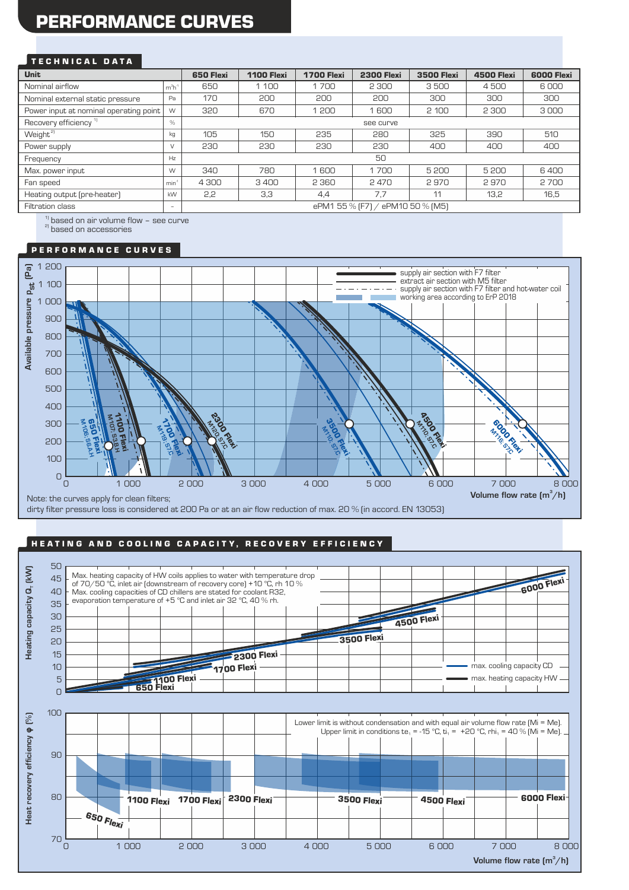# PERFORMANCE CURVES

#### TECHNICAL DATA

| <b>Unit</b>                            |                          | 650 Flexi                        | <b>1100 Flexi</b> | <b>1700 Flexi</b> | <b>2300 Flexi</b> | <b>3500 Flexi</b> | <b>4500 Flexi</b> | <b>6000 Flexi</b> |  |
|----------------------------------------|--------------------------|----------------------------------|-------------------|-------------------|-------------------|-------------------|-------------------|-------------------|--|
| Nominal airflow                        | $m3h-1$                  | 650                              | 1 1 0 0           | 1700              | 2 3 0 0           | 3500              | 4500              | 6000              |  |
| Nominal external static pressure       | Pa                       | 170                              | 200               | 200               | 200               | 300               | 300               | 300               |  |
| Power input at nominal operating point | W                        | 320                              | 670               | 1 200             | 1600              | 2 100             | 2 3 0 0           | 3000              |  |
| Recovery efficiency <sup>1]</sup>      | $\%$                     | see curve                        |                   |                   |                   |                   |                   |                   |  |
| Weight <sup>21</sup>                   | kg                       | 105                              | 150               | 235               | 280               | 325               | 390               | 510               |  |
| Power supply                           | $\vee$                   | 230                              | 230               | 230               | 230               | 400               | 400               | 400               |  |
| Frequency                              | Hz                       | 50                               |                   |                   |                   |                   |                   |                   |  |
| Max. power input                       | W                        | 340                              | 780               | 1600              | 1700              | 5 200             | 5200              | 6400              |  |
| Fan speed                              | min                      | 4 300                            | 3400              | 2 3 6 0           | 2470              | 2970              | 2970              | 2700              |  |
| Heating output (pre-heater)            | kW                       | 2,2                              | 3,3               | 4.4               | 7.7               | 11                | 13,2              | 16,5              |  |
| Filtration class                       | $\overline{\phantom{a}}$ | ePM1 55 % [F7] / ePM10 50 % [M5] |                   |                   |                   |                   |                   |                   |  |

 $1)$  based on air volume flow - see curve

<sup>2)</sup> based on accessories

#### P E R F O R M A N C E C U R V E S



#### HEATING AND COOLING CAPACITY, RECOVERY EFFICIENCY

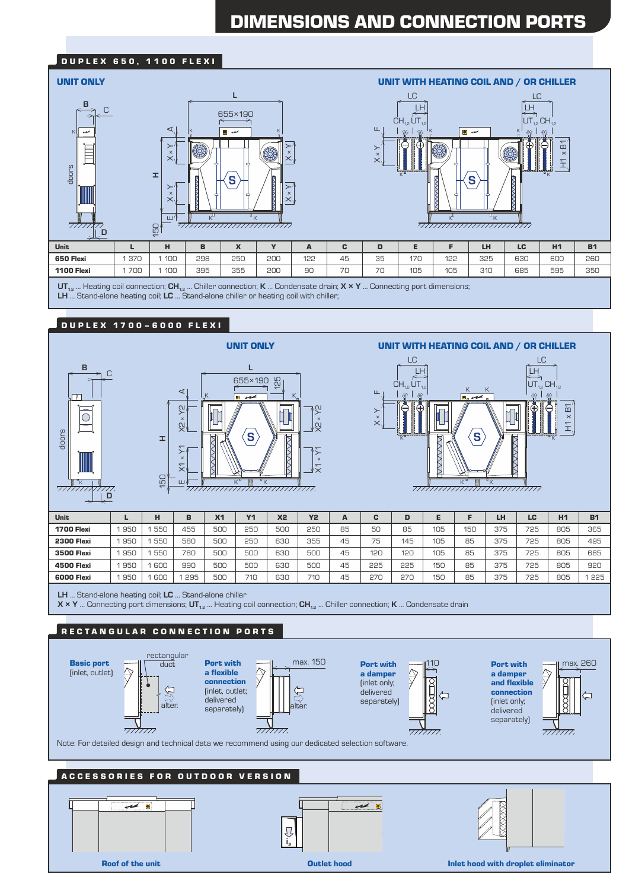# DIMENSIONS AND CONNECTION PORTS

#### **DUPLEX 650, 1100 FLEXI**



**UT**<sub>12</sub> ... Heating coil connection; CH<sub>12</sub> ... Chiller connection; **K** ... Condensate drain; **X × Y** ... Connecting port dimensions; **LH** ... Stand-alone heating coil; **LC** ... Stand-alone chiller or heating coil with chiller;

#### D U P L E X 1 7 0 0 – 6 0 0 0 F L E X I







| Unit              | ►   | н   | в   | X <sub>1</sub> | <b>Y1</b> | <b>X2</b> | <b>Y2</b> | А  | c   | D   |     |     | LH  | LC  | H1  | <b>B1</b> |
|-------------------|-----|-----|-----|----------------|-----------|-----------|-----------|----|-----|-----|-----|-----|-----|-----|-----|-----------|
| <b>1700 Flexi</b> | 950 | 550 | 455 | 500            | 250       | 500       | 250       | 85 | 50  | 85  | 105 | 150 | 375 | 725 | 805 | 365       |
| <b>2300 Flexi</b> | 950 | 550 | 580 | 500            | 250       | 630       | 355       | 45 | 75  | 145 | 105 | 85  | 375 | 725 | 805 | 495       |
| 3500 Flexi        | 950 | 550 | 780 | 500            | 500       | 630       | 500       | 45 | 120 | 120 | 105 | 85  | 375 | 725 | 805 | 685       |
| 4500 Flexi        | 950 | 600 | 990 | 500            | 500       | 630       | 500       | 45 | 225 | 225 | 150 | 85  | 375 | 725 | 805 | 920       |
| 6000 Flexi        | 950 | 600 | 295 | <b>500</b>     | 710       | 630       | 710       | 45 | 27C | 270 | 150 | 85  | 375 | 725 | 805 | 225       |

**LH** ... Stand-alone heating coil; **LC** ... Stand-alone chiller

**X × Y** ... Connecting port dimensions; **UT1,2** ... Heating coil connection; **CH1,2** ... Chiller connection; **K** ... Condensate drain

#### RECTANGULAR CONNECTION PORTS



Roof of the unit

 $\mathbf{i}_2$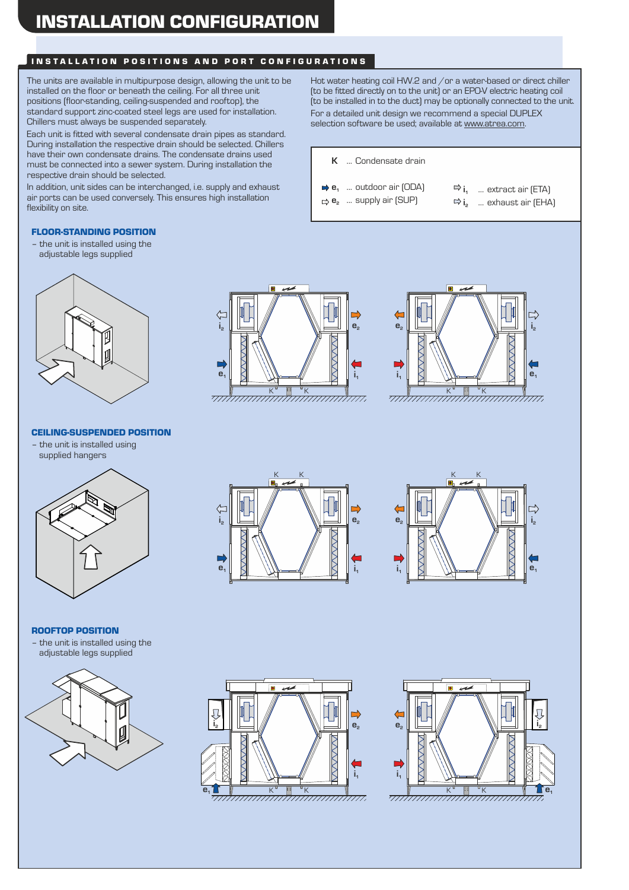### INSTALLATION POSITIONS AND PORT CONFIGURATIONS

The units are available in multipurpose design, allowing the unit to be installed on the floor or beneath the ceiling. For all three unit positions (floor-standing, ceiling-suspended and rooftop), the standard support zinc-coated steel legs are used for installation. Chillers must always be suspended separately.

Each unit is fitted with several condensate drain pipes as standard. During installation the respective drain should be selected. Chillers have their own condensate drains. The condensate drains used must be connected into a sewer system. During installation the respective drain should be selected.

In addition, unit sides can be interchanged, i.e. supply and exhaust air ports can be used conversely. This ensures high installation flexibility on site.

#### FLOOR-STANDING POSITION

– the unit is installed using the adjustable legs supplied

# <del>minimininininininin</del> **e1**  $\mathbf{i}_2$ **i1 e2**



<del>minimininininininin</del>

#### CEILING-SUSPENDED POSITION

– the unit is installed using supplied hangers



#### ROOFTOP POSITION

– the unit is installed using the adjustable legs supplied











Hot water heating coil HW.2 and /or a water-based or direct chiller (to be fitted directly on to the unit) or an EPO-V electric heating coil (to be installed in to the duct) may be optionally connected to the unit. For a detailed unit design we recommend a special DUPLEX selection software be used; available at www.atrea.com.

**K** ... Condensate drain

- $\rightarrow$  **e**<sub>1</sub> ... outdoor air (ODA) **e**<sub>2</sub> ... supply air (SUP)
- $\Rightarrow$  **i**<sub>1</sub> ... extract air (ETA)  $\Rightarrow$ **i**<sub>2</sub> ... exhaust air [EHA]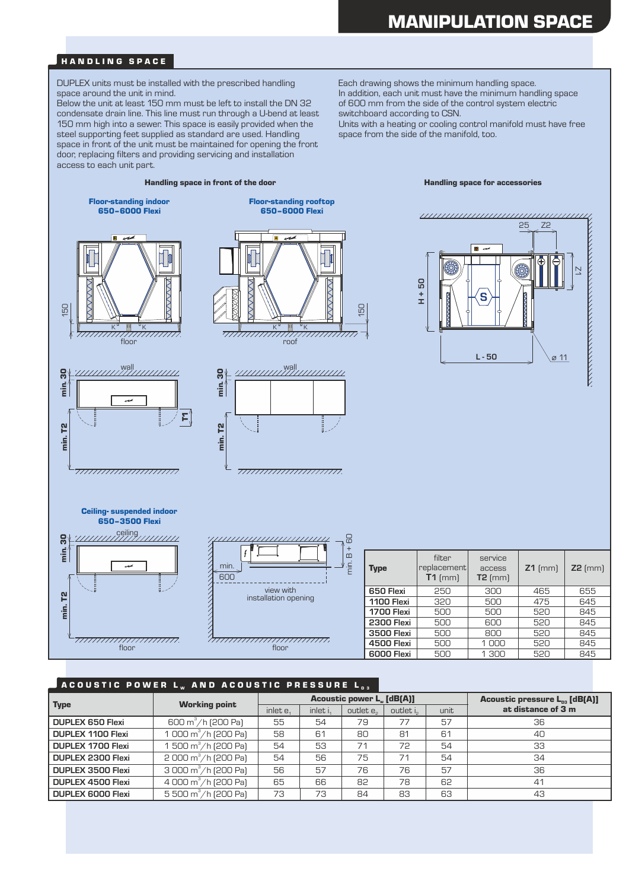#### HANDLING SPACE

DUPLEX units must be installed with the prescribed handling space around the unit in mind.

Below the unit at least 150 mm must be left to install the DN 32 condensate drain line. This line must run through a U-bend at least 150 mm high into a sewer. This space is easily provided when the steel supporting feet supplied as standard are used. Handling space in front of the unit must be maintained for opening the front door, replacing filters and providing servicing and installation access to each unit part.

Each drawing shows the minimum handling space. In addition, each unit must have the minimum handling space of 600 mm from the side of the control system electric switchboard according to CSN.

Units with a heating or cooling control manifold must have free space from the side of the manifold, too.

#### Handling space in front of the door **Handling space for accessories** Floor-standing indoor Floor-standing rooftop 650–6000 Flexi 650–6000 Flexi ,,,,,,,,,,,,,,,,,,,,,,,,,,,,,,,,,,,,,, 25 Z2  $\overline{\bullet}$  $\geq$ **H + 50** S 150 150 K K K K  $\frac{1}{\text{floor}}$ <u>minmummummin</u> roof **L - 50**  $\varnothing$  11 wall wall ន $\vert$ ន $\vert$ min. T2 min. 30 min. T2 min. 30  $\sum_{i=1}^{n}$ inin.  $\overline{\phantom{a}}$  $\mathbf{r}$ **P2** min. T<sub>2</sub> min. 777777777777777777777777 77777777777171717177777. Ceiling- suspended indoor 650–3500 Flexi  $\mathcal{C}^{\text{ceiling}}$  $\mathbf{e}^{\dagger}$ min. T2 min. 30  $B + 60$ in. filter service min. Type replacement access **Z1** (mm) **Z2** (mm) 600 **T1** (mm) **T2** (mm) **650 Flexi** 250 300 465 655 view with installation opening min. T<sub>2</sub> **1100 Flexi** 320 500 475 645<br>**1700 Flexi** 500 500 520 845 **1700 Flexi** 500<br>**2300 Flexi** 500 **2300 Flexi** 500 600 520 845<br>**3500 Flexi** 500 800 520 845 **3500 Flexi** 500 800 520 845  $\frac{1}{\text{floor}}$ **4500 Flexi** 500 1 000 520 845 floor **6000 Flexi** 500 1 300

#### ACOUSTIC POWER L<sub>w</sub> and acoustic pressure

|                          | <b>Working point</b>                      |             |            | <b>Acoustic power L. [dB(A)]</b> | Acoustic pressure $L_{n3}$ [dB(A)] |      |                    |
|--------------------------|-------------------------------------------|-------------|------------|----------------------------------|------------------------------------|------|--------------------|
| <b>Type</b>              |                                           | inlet $e_1$ | inlet $i1$ | outlet e <sub>2</sub>            | outlet i <sub>2</sub>              | unit | at distance of 3 m |
| <b>DUPLEX 650 Flexi</b>  | 600 m <sup>3</sup> /h (200 Pa)            | 55          | 54         | 79                               | 77                                 | 57   | 36                 |
| <b>DUPLEX 1100 Flexi</b> | 1 000 $\text{m}^3/\text{h}$ (200 Pa)      | 58          | 61         | 80                               | 81                                 | 61   | 40                 |
| <b>DUPLEX 1700 Flexi</b> | 1 500 m <sup>3</sup> /h (200 Pa)          | 54          | 53         | 71                               | 72                                 | 54   | 33                 |
| <b>DUPLEX 2300 Flexi</b> | $2000 \,\mathrm{m^3/h}$ (200 Pa)          | 54          | 56         | 75                               | 71                                 | 54   | 34                 |
| <b>DUPLEX 3500 Flexi</b> | $3000 \,\mathrm{m}^3/\mathrm{h}$ (200 Pa) | 56          | 57         | 76                               | 76                                 | 57   | 36                 |
| <b>DUPLEX 4500 Flexi</b> | 4 000 m <sup>3</sup> /h (200 Pa)          | 65          | 66         | 82                               | 78                                 | 62   | 41                 |
| <b>DUPLEX 6000 Flexi</b> | 5 500 $\text{m}^3/\text{h}$ (200 Pa)      | 73          | 73         | 84                               | 83                                 | 63   | 43                 |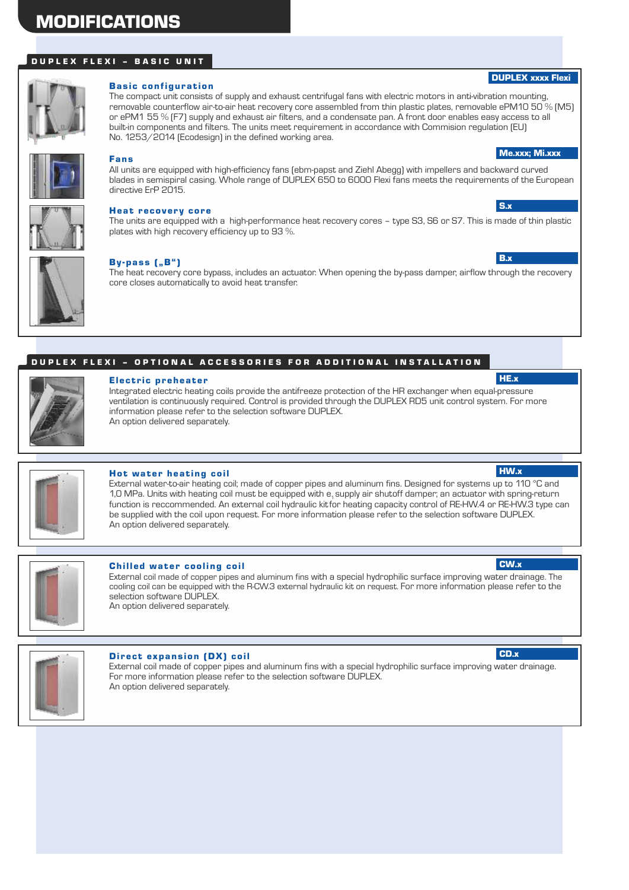## MODIFICATIONS

### DUPLEX FLEXI - BASIC UNIT



#### **Basic configuration**

The compact unit consists of supply and exhaust centrifugal fans with electric motors in anti-vibration mounting, removable counterflow air-to-air heat recovery core assembled from thin plastic plates, removable ePM10 50 % (M5) or ePM1 55 % (F7) supply and exhaust air filters, and a condensate pan. A front door enables easy access to all built-in components and filters. The units meet requirement in accordance with Commision regulation (EU) No. 1253/2014 (Ecodesign) in the defined working area.



### Fans

All units are equipped with high-efficiency fans (ebm-papst and Ziehl Abegg) with impellers and backward curved blades in semispiral casing. Whole range of DUPLEX 650 to 6000 Flexi fans meets the requirements of the European directive ErP 2015.



#### Heat recovery core

The units are equipped with a high-performance heat recovery cores – type S3, S6 or S7. This is made of thin plastic plates with high recovery efficiency up to 93 %.



#### By-pass ("B")

The heat recovery core bypass, includes an actuator. When opening the by-pass damper, airflow through the recovery core closes automatically to avoid heat transfer.

#### DUPLEX FLEXI - OPTIONAL ACCESSORIES FOR ADDITIONAL INSTALLATION

|  | ٠<br>۰<br>٠ |
|--|-------------|
|  |             |

#### Electric preheater

Integrated electric heating coils provide the antifreeze protection of the HR exchanger when equal-pressure ventilation is continuously required. Control is provided through the DUPLEX RD5 unit control system. For more information please refer to the selection software DUPLEX. An option delivered separately.



### Hot water heating coil

External water-to-air heating coil; made of copper pipes and aluminum fins. Designed for systems up to 110 °C and 1,0 MPa. Units with heating coil must be equipped with e, supply air shutoff damper; an actuator with spring-return function is reccommended. An external coil hydraulic kitfor heating capacity control of RE-HW.4 or RE-HW.3 type can be supplied with the coil upon request. For more information please refer to the selection software DUPLEX. An option delivered separately.



#### **Chilled water cooling coil**

External coil made of copper pipes and aluminum fins with a special hydrophilic surface improving water drainage. The cooling coil can be equipped with the R-CW.3 external hydraulic kit on request. For more information please refer to the selection software DUPLEX. An option delivered separately.



#### Direct expansion (DX) coil

External coil made of copper pipes and aluminum fins with a special hydrophilic surface improving water drainage. For more information please refer to the selection software DUPLEX. An option delivered separately.

### HW.x

HE.x

CW<sub>x</sub>



#### DUPLEX xxxx Flexi

Me.xxx; Mi.xxx

S.x

B.x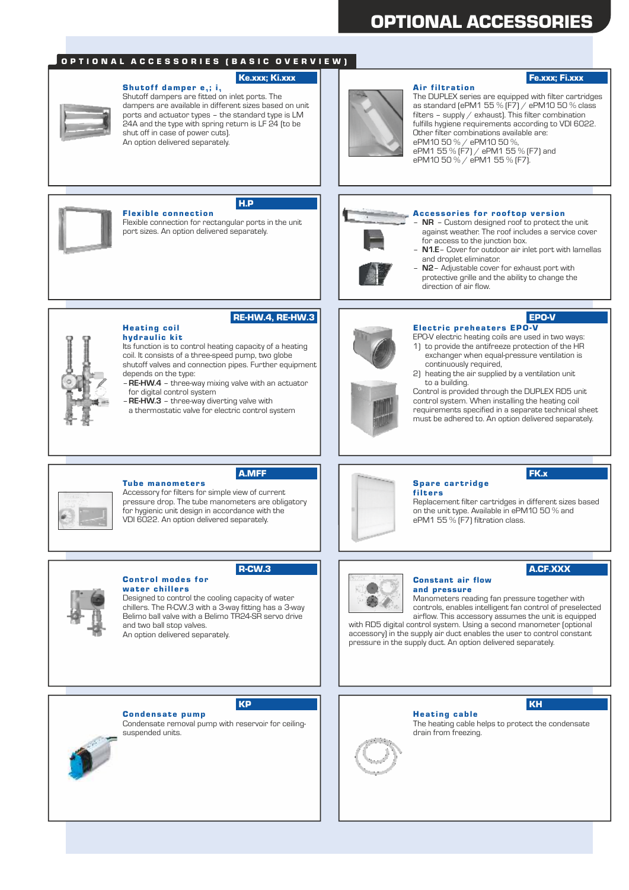## OPTIONAL ACCESSORIES

#### O P T I O N A L A C C E S S O R I E S ( B A S I C O V E R V I E W )

H.P

Shutoff damper  $e_1$ ; i<sub>1</sub> Shutoff dampers are fitted on inlet ports. The dampers are available in different sizes based on unit ports and actuator types – the standard type is LM 24A and the type with spring return is LF 24 (to be shut off in case of power cuts). An option delivered separately.



### Ke.xxx; Ki.xxx Fi.xxx

Air filtration The DUPLEX series are equipped with filter cartridges as standard (ePM1 55 % (F7) / ePM10 50 % class filters - supply  $/$  exhaust]. This filter combination fulfills hygiene requirements according to VDI 6022. Other filter combinations available are: ePM10 50 % / ePM10 50 %, ePM1 55 % (F7) / ePM1 55 % (F7) and ePM10 50 % / ePM1 55 % (F7).



#### **Flexible connection**

Flexible connection for rectangular ports in the unit port sizes. An option delivered separately.



#### Accessories for rooftop version

- **NR** Custom designed roof to protect the unit against weather. The roof includes a service cover for access to the junction box.
- **N1.E** Cover for outdoor air inlet port with lamellas and droplet eliminator.
- **N2** Adjustable cover for exhaust port with protective grille and the ability to change the direction of air flow.



### RE-HW.4, RE-HW.3

#### Heat ing coil hydraulic kit

Its function is to control heating capacity of a heating coil. It consists of a three-speed pump, two globe shutoff valves and connection pipes. Further equipment depends on the type:

- **RE-HW.4** three-way mixing valve with an actuator for digital control system
- **RE-HW.3** three-way diverting valve with
- a thermostatic valve for electric control system



### EPO-V

Electric preheaters EPO-V EPO-V electric heating coils are used in two ways:

- 1) to provide the antifreeze protection of the HR exchanger when equal-pressure ventilation is continuously required,
- 2) heating the air supplied by a ventilation unit to a building.

Control is provided through the DUPLEX RD5 unit control system. When installing the heating coil requirements specified in a separate technical sheet must be adhered to. An option delivered separately.



#### A.MFF

R-CW.3

**Tube manometers** Accessory for filters for simple view of current pressure drop. The tube manometers are obligatory for hygienic unit design in accordance with the VDI 6022. An option delivered separately.

Designed to control the cooling capacity of water chillers. The R-CW.3 with a 3-way fitting has a 3-way Belimo ball valve with a Belimo TR24-SR servo drive



#### Spare cartridge filters

Replacement filter cartridges in different sizes based on the unit type. Available in ePM10 50 % and ePM1 55 % (F7) filtration class.

### A.CF.XXX

FK.x



#### Constant air flow and pressure

Manometers reading fan pressure together with controls, enables intelligent fan control of preselected airflow. This accessory assumes the unit is equipped

with RD5 digital control system. Using a second manometer (optional accessory) in the supply air duct enables the user to control constant pressure in the supply duct. An option delivered separately.

#### **Condensate pump**

Control modes for water chillers

and two ball stop valves. An option delivered separately.

Condensate removal pump with reservoir for ceilingsuspended units.

The heating cable helps to protect the condensate drain from freezing.